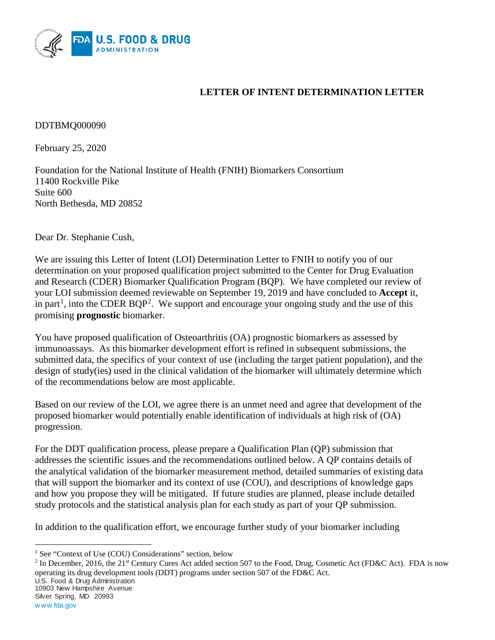

# **LETTER OF INTENT DETERMINATION LETTER**

DDTBMQ000090

February 25, 2020

Foundation for the National Institute of Health (FNIH) Biomarkers Consortium 11400 Rockville Pike Suite 600 North Bethesda, MD 20852

Dear Dr. Stephanie Cush,

We are issuing this Letter of Intent (LOI) Determination Letter to FNIH to notify you of our determination on your proposed qualification project submitted to the Center for Drug Evaluation and Research (CDER) Biomarker Qualification Program (BQP). We have completed our review of your LOI submission deemed reviewable on September 19, 2019 and have concluded to **Accept** it, in part<sup>[1](#page-0-0)</sup>, into the CDER BQP<sup>[2](#page-0-1)</sup>. We support and encourage your ongoing study and the use of this promising **prognostic** biomarker.

You have proposed qualification of Osteoarthritis (OA) prognostic biomarkers as assessed by immunoassays. As this biomarker development effort is refined in subsequent submissions, the submitted data, the specifics of your context of use (including the target patient population), and the design of study(ies) used in the clinical validation of the biomarker will ultimately determine which of the recommendations below are most applicable.

Based on our review of the LOI, we agree there is an unmet need and agree that development of the proposed biomarker would potentially enable identification of individuals at high risk of (OA) progression.

For the DDT qualification process, please prepare a Qualification Plan (QP) submission that addresses the scientific issues and the recommendations outlined below. A QP contains details of the analytical validation of the biomarker measurement method, detailed summaries of existing data that will support the biomarker and its context of use (COU), and descriptions of knowledge gaps and how you propose they will be mitigated. If future studies are planned, please include detailed study protocols and the statistical analysis plan for each study as part of your QP submission.

In addition to the qualification effort, we encourage further study of your biomarker including

<span id="page-0-1"></span><sup>2</sup> In December, 2016, the 21<sup>st</sup> Century Cures Act added section 507 to the Food, Drug, Cosmetic Act (FD&C Act). FDA is now operating its drug development tools (DDT) programs under section 507 of the FD&C Act.

U.S. Food & Drug Administration

10903 New Hampshire Avenue Silver Spring, MD 20993

 $\overline{\phantom{a}}$ 

<span id="page-0-0"></span><sup>&</sup>lt;sup>1</sup> See "Context of Use (COU) Considerations" section, below

w ww.fda.gov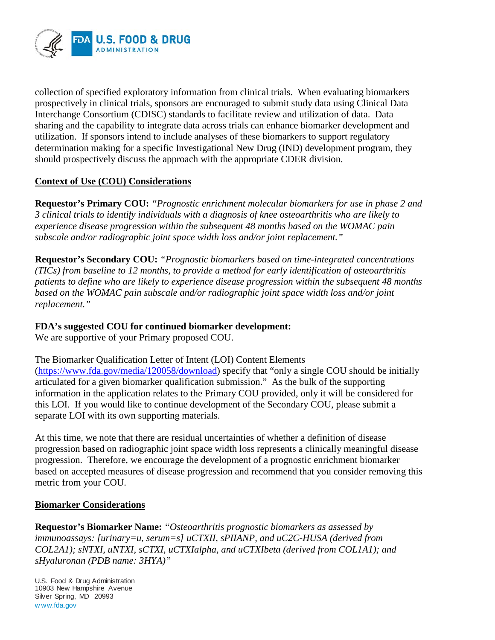

collection of specified exploratory information from clinical trials. When evaluating biomarkers prospectively in clinical trials, sponsors are encouraged to submit study data using Clinical Data Interchange Consortium (CDISC) standards to facilitate review and utilization of data. Data sharing and the capability to integrate data across trials can enhance biomarker development and utilization. If sponsors intend to include analyses of these biomarkers to support regulatory determination making for a specific Investigational New Drug (IND) development program, they should prospectively discuss the approach with the appropriate CDER division.

## **Context of Use (COU) Considerations**

**Requestor's Primary COU:** *"Prognostic enrichment molecular biomarkers for use in phase 2 and 3 clinical trials to identify individuals with a diagnosis of knee osteoarthritis who are likely to experience disease progression within the subsequent 48 months based on the WOMAC pain subscale and/or radiographic joint space width loss and/or joint replacement."*

**Requestor's Secondary COU:** *"Prognostic biomarkers based on time-integrated concentrations (TICs) from baseline to 12 months, to provide a method for early identification of osteoarthritis patients to define who are likely to experience disease progression within the subsequent 48 months based on the WOMAC pain subscale and/or radiographic joint space width loss and/or joint replacement."*

## **FDA's suggested COU for continued biomarker development:**

We are supportive of your Primary proposed COU.

The Biomarker Qualification Letter of Intent (LOI) Content Elements [\(https://www.fda.gov/media/120058/download\)](https://www.fda.gov/media/120058/download) specify that "only a single COU should be initially articulated for a given biomarker qualification submission." As the bulk of the supporting information in the application relates to the Primary COU provided, only it will be considered for this LOI. If you would like to continue development of the Secondary COU, please submit a separate LOI with its own supporting materials.

At this time, we note that there are residual uncertainties of whether a definition of disease progression based on radiographic joint space width loss represents a clinically meaningful disease progression. Therefore, we encourage the development of a prognostic enrichment biomarker based on accepted measures of disease progression and recommend that you consider removing this metric from your COU.

#### **Biomarker Considerations**

**Requestor's Biomarker Name:** *"Osteoarthritis prognostic biomarkers as assessed by immunoassays: [urinary=u, serum=s] uCTXII, sPIIANP, and uC2C-HUSA (derived from COL2A1); sNTXI, uNTXI, sCTXI, uCTXIalpha, and uCTXIbeta (derived from COL1A1); and sHyaluronan (PDB name: 3HYA)"*

U.S. Food & Drug Administration 10903 New Hampshire Avenue Silver Spring, MD 20993 w ww.fda.gov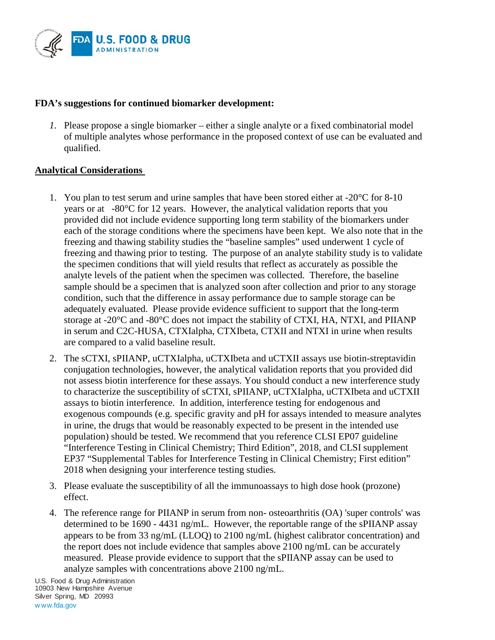

#### **FDA's suggestions for continued biomarker development:**

*1.* Please propose a single biomarker – either a single analyte or a fixed combinatorial model of multiple analytes whose performance in the proposed context of use can be evaluated and qualified.

## **Analytical Considerations**

- 1. You plan to test serum and urine samples that have been stored either at -20°C for 8-10 years or at -80°C for 12 years. However, the analytical validation reports that you provided did not include evidence supporting long term stability of the biomarkers under each of the storage conditions where the specimens have been kept. We also note that in the freezing and thawing stability studies the "baseline samples" used underwent 1 cycle of freezing and thawing prior to testing. The purpose of an analyte stability study is to validate the specimen conditions that will yield results that reflect as accurately as possible the analyte levels of the patient when the specimen was collected. Therefore, the baseline sample should be a specimen that is analyzed soon after collection and prior to any storage condition, such that the difference in assay performance due to sample storage can be adequately evaluated. Please provide evidence sufficient to support that the long-term storage at -20°C and -80°C does not impact the stability of CTXI, HA, NTXI, and PIIANP in serum and C2C-HUSA, CTXIalpha, CTXIbeta, CTXII and NTXI in urine when results are compared to a valid baseline result.
- 2. The sCTXI, sPIIANP, uCTXIalpha, uCTXIbeta and uCTXII assays use biotin-streptavidin conjugation technologies, however, the analytical validation reports that you provided did not assess biotin interference for these assays. You should conduct a new interference study to characterize the susceptibility of sCTXI, sPIIANP, uCTXIalpha, uCTXIbeta and uCTXII assays to biotin interference. In addition, interference testing for endogenous and exogenous compounds (e.g. specific gravity and pH for assays intended to measure analytes in urine, the drugs that would be reasonably expected to be present in the intended use population) should be tested. We recommend that you reference CLSI EP07 guideline "Interference Testing in Clinical Chemistry; Third Edition", 2018, and CLSI supplement EP37 "Supplemental Tables for Interference Testing in Clinical Chemistry; First edition" 2018 when designing your interference testing studies.
- 3. Please evaluate the susceptibility of all the immunoassays to high dose hook (prozone) effect.
- 4. The reference range for PIIANP in serum from non- osteoarthritis (OA) 'super controls' was determined to be 1690 - 4431 ng/mL. However, the reportable range of the sPIIANP assay appears to be from 33 ng/mL (LLOQ) to 2100 ng/mL (highest calibrator concentration) and the report does not include evidence that samples above 2100 ng/mL can be accurately measured. Please provide evidence to support that the sPIIANP assay can be used to analyze samples with concentrations above 2100 ng/mL.